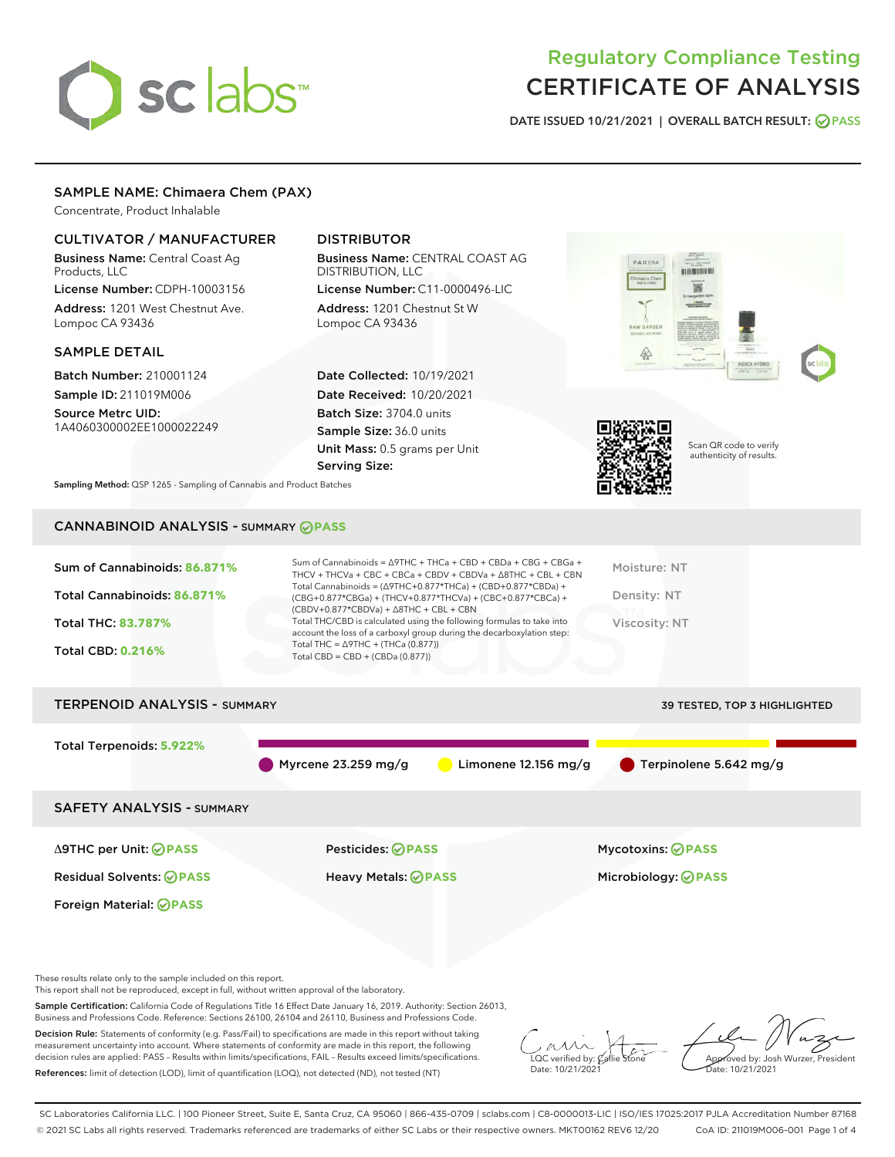# sclabs<sup>\*</sup>

# Regulatory Compliance Testing CERTIFICATE OF ANALYSIS

DATE ISSUED 10/21/2021 | OVERALL BATCH RESULT: @ PASS

# SAMPLE NAME: Chimaera Chem (PAX)

Concentrate, Product Inhalable

# CULTIVATOR / MANUFACTURER

Business Name: Central Coast Ag Products, LLC

License Number: CDPH-10003156 Address: 1201 West Chestnut Ave. Lompoc CA 93436

#### SAMPLE DETAIL

Batch Number: 210001124 Sample ID: 211019M006

Source Metrc UID: 1A4060300002EE1000022249

# DISTRIBUTOR

Business Name: CENTRAL COAST AG DISTRIBUTION, LLC License Number: C11-0000496-LIC

Address: 1201 Chestnut St W Lompoc CA 93436

Date Collected: 10/19/2021 Date Received: 10/20/2021 Batch Size: 3704.0 units Sample Size: 36.0 units Unit Mass: 0.5 grams per Unit Serving Size:





Scan QR code to verify authenticity of results.

Sampling Method: QSP 1265 - Sampling of Cannabis and Product Batches

# CANNABINOID ANALYSIS - SUMMARY **PASS**

| Sum of Cannabinoids: 86.871%<br>Total Cannabinoids: 86.871%<br><b>Total THC: 83,787%</b><br><b>Total CBD: 0.216%</b> | Sum of Cannabinoids = $\triangle$ 9THC + THCa + CBD + CBDa + CBG + CBGa +<br>THCV + THCVa + CBC + CBCa + CBDV + CBDVa + $\Delta$ 8THC + CBL + CBN<br>Total Cannabinoids = $(\Delta$ 9THC+0.877*THCa) + (CBD+0.877*CBDa) +<br>(CBG+0.877*CBGa) + (THCV+0.877*THCVa) + (CBC+0.877*CBCa) +<br>$(CBDV+0.877*CBDVa) + \Delta 8THC + CBL + CBN$<br>Total THC/CBD is calculated using the following formulas to take into<br>account the loss of a carboxyl group during the decarboxylation step:<br>Total THC = $\triangle$ 9THC + (THCa (0.877))<br>Total CBD = $CBD + (CBDa (0.877))$ | Moisture: NT<br>Density: NT<br>Viscosity: NT |
|----------------------------------------------------------------------------------------------------------------------|------------------------------------------------------------------------------------------------------------------------------------------------------------------------------------------------------------------------------------------------------------------------------------------------------------------------------------------------------------------------------------------------------------------------------------------------------------------------------------------------------------------------------------------------------------------------------------|----------------------------------------------|
| <b>TERPENOID ANALYSIS - SUMMARY</b>                                                                                  |                                                                                                                                                                                                                                                                                                                                                                                                                                                                                                                                                                                    | <b>39 TESTED, TOP 3 HIGHLIGHTED</b>          |
| Total Terpenoids: 5.922%                                                                                             | Myrcene $23.259$ mg/g<br>Limonene $12.156$ mg/g                                                                                                                                                                                                                                                                                                                                                                                                                                                                                                                                    | $\blacksquare$ Terpinolene 5.642 mg/g        |
| <b>SAFETY ANALYSIS - SUMMARY</b>                                                                                     |                                                                                                                                                                                                                                                                                                                                                                                                                                                                                                                                                                                    |                                              |
| ∆9THC per Unit: ⊘PASS                                                                                                | Pesticides: ⊘PASS                                                                                                                                                                                                                                                                                                                                                                                                                                                                                                                                                                  | <b>Mycotoxins: ⊘PASS</b>                     |

Foreign Material: **PASS**

Residual Solvents: **PASS** Heavy Metals: **PASS** Microbiology: **PASS**

These results relate only to the sample included on this report.

This report shall not be reproduced, except in full, without written approval of the laboratory.

Sample Certification: California Code of Regulations Title 16 Effect Date January 16, 2019. Authority: Section 26013, Business and Professions Code. Reference: Sections 26100, 26104 and 26110, Business and Professions Code.

Decision Rule: Statements of conformity (e.g. Pass/Fail) to specifications are made in this report without taking measurement uncertainty into account. Where statements of conformity are made in this report, the following decision rules are applied: PASS – Results within limits/specifications, FAIL – Results exceed limits/specifications. References: limit of detection (LOD), limit of quantification (LOQ), not detected (ND), not tested (NT)

 $\sim$  CC verified by:  $\mathscr{C}$  a Date: 10/21/2021

Approved by: Josh Wurzer, President ate: 10/21/2021

SC Laboratories California LLC. | 100 Pioneer Street, Suite E, Santa Cruz, CA 95060 | 866-435-0709 | sclabs.com | C8-0000013-LIC | ISO/IES 17025:2017 PJLA Accreditation Number 87168 © 2021 SC Labs all rights reserved. Trademarks referenced are trademarks of either SC Labs or their respective owners. MKT00162 REV6 12/20 CoA ID: 211019M006-001 Page 1 of 4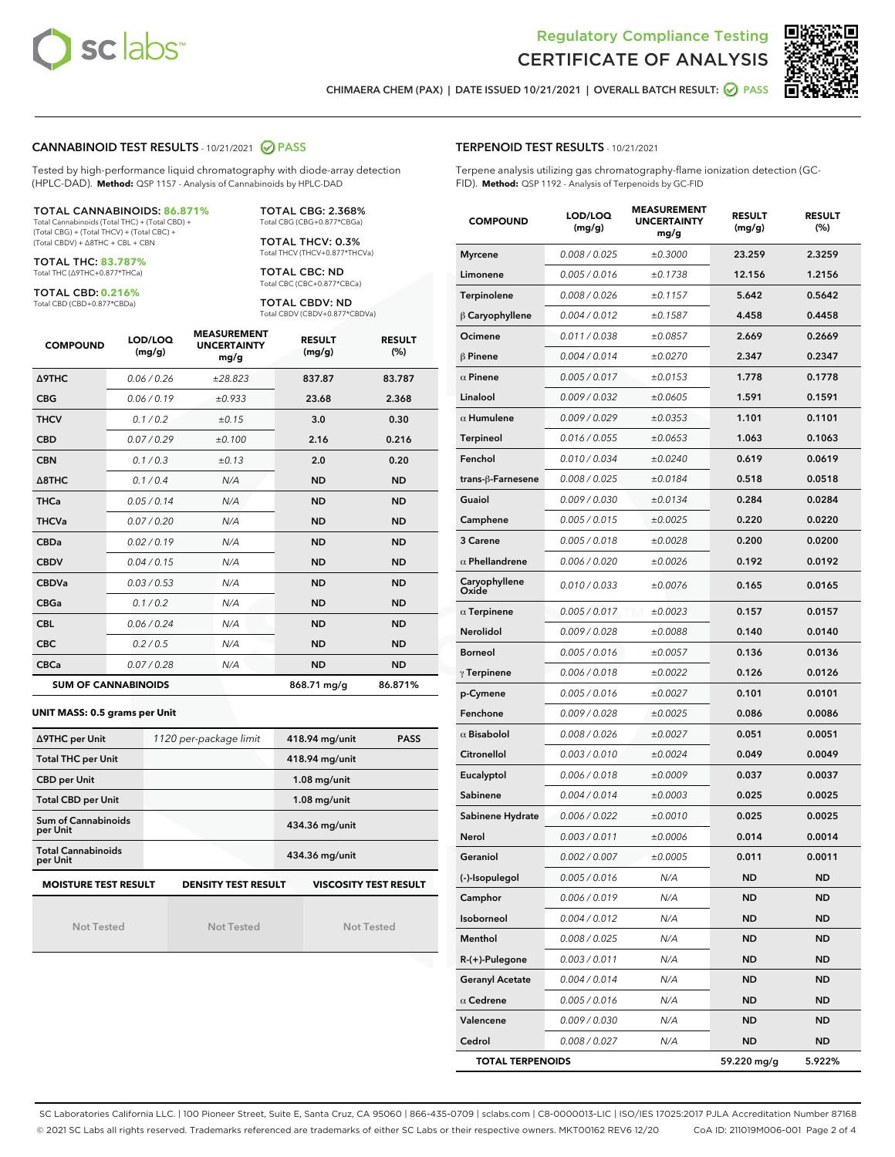



CHIMAERA CHEM (PAX) | DATE ISSUED 10/21/2021 | OVERALL BATCH RESULT: **○** PASS

#### CANNABINOID TEST RESULTS - 10/21/2021 2 PASS

Tested by high-performance liquid chromatography with diode-array detection (HPLC-DAD). **Method:** QSP 1157 - Analysis of Cannabinoids by HPLC-DAD

#### TOTAL CANNABINOIDS: **86.871%**

Total Cannabinoids (Total THC) + (Total CBD) + (Total CBG) + (Total THCV) + (Total CBC) + (Total CBDV) + ∆8THC + CBL + CBN

TOTAL THC: **83.787%** Total THC (∆9THC+0.877\*THCa)

TOTAL CBD: **0.216%**

Total CBD (CBD+0.877\*CBDa)

TOTAL CBG: 2.368% Total CBG (CBG+0.877\*CBGa)

TOTAL THCV: 0.3% Total THCV (THCV+0.877\*THCVa)

TOTAL CBC: ND Total CBC (CBC+0.877\*CBCa)

TOTAL CBDV: ND Total CBDV (CBDV+0.877\*CBDVa)

| <b>COMPOUND</b>            | LOD/LOQ<br>(mg/g) | <b>MEASUREMENT</b><br><b>UNCERTAINTY</b><br>mg/g | <b>RESULT</b><br>(mg/g) | <b>RESULT</b><br>(%) |
|----------------------------|-------------------|--------------------------------------------------|-------------------------|----------------------|
| <b>A9THC</b>               | 0.06 / 0.26       | ±28.823                                          | 837.87                  | 83.787               |
| <b>CBG</b>                 | 0.06/0.19         | ±0.933                                           | 23.68                   | 2.368                |
| <b>THCV</b>                | 0.1 / 0.2         | ±0.15                                            | 3.0                     | 0.30                 |
| <b>CBD</b>                 | 0.07/0.29         | ±0.100                                           | 2.16                    | 0.216                |
| <b>CBN</b>                 | 0.1 / 0.3         | ±0.13                                            | 2.0                     | 0.20                 |
| $\triangle$ 8THC           | 0.1 / 0.4         | N/A                                              | <b>ND</b>               | <b>ND</b>            |
| <b>THCa</b>                | 0.05/0.14         | N/A                                              | <b>ND</b>               | <b>ND</b>            |
| <b>THCVa</b>               | 0.07/0.20         | N/A                                              | <b>ND</b>               | <b>ND</b>            |
| <b>CBDa</b>                | 0.02/0.19         | N/A                                              | <b>ND</b>               | <b>ND</b>            |
| <b>CBDV</b>                | 0.04/0.15         | N/A                                              | <b>ND</b>               | <b>ND</b>            |
| <b>CBDVa</b>               | 0.03/0.53         | N/A                                              | <b>ND</b>               | <b>ND</b>            |
| <b>CBGa</b>                | 0.1/0.2           | N/A                                              | <b>ND</b>               | <b>ND</b>            |
| <b>CBL</b>                 | 0.06 / 0.24       | N/A                                              | <b>ND</b>               | <b>ND</b>            |
| <b>CBC</b>                 | 0.2 / 0.5         | N/A                                              | <b>ND</b>               | <b>ND</b>            |
| <b>CBCa</b>                | 0.07 / 0.28       | N/A                                              | <b>ND</b>               | <b>ND</b>            |
| <b>SUM OF CANNABINOIDS</b> |                   |                                                  | 868.71 mg/g             | 86.871%              |

#### **UNIT MASS: 0.5 grams per Unit**

| ∆9THC per Unit                        | 1120 per-package limit     | 418.94 mg/unit<br><b>PASS</b> |
|---------------------------------------|----------------------------|-------------------------------|
| <b>Total THC per Unit</b>             |                            | 418.94 mg/unit                |
| <b>CBD per Unit</b>                   |                            | $1.08$ mg/unit                |
| <b>Total CBD per Unit</b>             |                            | $1.08$ mg/unit                |
| Sum of Cannabinoids<br>per Unit       |                            | 434.36 mg/unit                |
| <b>Total Cannabinoids</b><br>per Unit |                            | 434.36 mg/unit                |
| <b>MOISTURE TEST RESULT</b>           | <b>DENSITY TEST RESULT</b> | <b>VISCOSITY TEST RESULT</b>  |

Not Tested

| <b>Not Tested</b> |  |
|-------------------|--|

Not Tested

#### TERPENOID TEST RESULTS - 10/21/2021

Terpene analysis utilizing gas chromatography-flame ionization detection (GC-FID). **Method:** QSP 1192 - Analysis of Terpenoids by GC-FID

| <b>COMPOUND</b>         | LOD/LOQ<br>(mg/g) | <b>MEASUREMENT</b><br><b>UNCERTAINTY</b><br>mg/g | <b>RESULT</b><br>(mg/g) | <b>RESULT</b><br>(%) |
|-------------------------|-------------------|--------------------------------------------------|-------------------------|----------------------|
| <b>Myrcene</b>          | 0.008 / 0.025     | ±0.3000                                          | 23.259                  | 2.3259               |
| Limonene                | 0.005 / 0.016     | ±0.1738                                          | 12.156                  | 1.2156               |
| Terpinolene             | 0.008 / 0.026     | ±0.1157                                          | 5.642                   | 0.5642               |
| $\beta$ Caryophyllene   | 0.004 / 0.012     | ±0.1587                                          | 4.458                   | 0.4458               |
| Ocimene                 | 0.011 / 0.038     | ±0.0857                                          | 2.669                   | 0.2669               |
| <b>B</b> Pinene         | 0.004 / 0.014     | ±0.0270                                          | 2.347                   | 0.2347               |
| $\alpha$ Pinene         | 0.005 / 0.017     | ±0.0153                                          | 1.778                   | 0.1778               |
| Linalool                | 0.009 / 0.032     | ±0.0605                                          | 1.591                   | 0.1591               |
| $\alpha$ Humulene       | 0.009 / 0.029     | ±0.0353                                          | 1.101                   | 0.1101               |
| Terpineol               | 0.016 / 0.055     | ±0.0653                                          | 1.063                   | 0.1063               |
| Fenchol                 | 0.010 / 0.034     | ±0.0240                                          | 0.619                   | 0.0619               |
| trans-ß-Farnesene       | 0.008 / 0.025     | ±0.0184                                          | 0.518                   | 0.0518               |
| Guaiol                  | 0.009 / 0.030     | ±0.0134                                          | 0.284                   | 0.0284               |
| Camphene                | 0.005 / 0.015     | ±0.0025                                          | 0.220                   | 0.0220               |
| 3 Carene                | 0.005 / 0.018     | ±0.0028                                          | 0.200                   | 0.0200               |
| $\alpha$ Phellandrene   | 0.006 / 0.020     | ±0.0026                                          | 0.192                   | 0.0192               |
| Caryophyllene<br>Oxide  | 0.010 / 0.033     | ±0.0076                                          | 0.165                   | 0.0165               |
| $\alpha$ Terpinene      | 0.005 / 0.017     | ±0.0023                                          | 0.157                   | 0.0157               |
| Nerolidol               | 0.009 / 0.028     | ±0.0088                                          | 0.140                   | 0.0140               |
| <b>Borneol</b>          | 0.005 / 0.016     | ±0.0057                                          | 0.136                   | 0.0136               |
| $\gamma$ Terpinene      | 0.006 / 0.018     | ±0.0022                                          | 0.126                   | 0.0126               |
| p-Cymene                | 0.005 / 0.016     | ±0.0027                                          | 0.101                   | 0.0101               |
| Fenchone                | 0.009 / 0.028     | ±0.0025                                          | 0.086                   | 0.0086               |
| $\alpha$ Bisabolol      | 0.008 / 0.026     | ±0.0027                                          | 0.051                   | 0.0051               |
| Citronellol             | 0.003 / 0.010     | ±0.0024                                          | 0.049                   | 0.0049               |
| Eucalyptol              | 0.006 / 0.018     | ±0.0009                                          | 0.037                   | 0.0037               |
| Sabinene                | 0.004 / 0.014     | ±0.0003                                          | 0.025                   | 0.0025               |
| Sabinene Hydrate        | 0.006 / 0.022     | ±0.0010                                          | 0.025                   | 0.0025               |
| Nerol                   | 0.003 / 0.011     | ±0.0006                                          | 0.014                   | 0.0014               |
| Geraniol                | 0.002 / 0.007     | ±0.0005                                          | 0.011                   | 0.0011               |
| (-)-Isopulegol          | 0.005 / 0.016     | N/A                                              | ND                      | ND                   |
| Camphor                 | 0.006 / 0.019     | N/A                                              | <b>ND</b>               | ND                   |
| Isoborneol              | 0.004 / 0.012     | N/A                                              | ND                      | ND                   |
| Menthol                 | 0.008 / 0.025     | N/A                                              | ND                      | ND                   |
| $R-(+)$ -Pulegone       | 0.003 / 0.011     | N/A                                              | ND                      | ND                   |
| <b>Geranyl Acetate</b>  | 0.004 / 0.014     | N/A                                              | ND                      | ND                   |
| $\alpha$ Cedrene        | 0.005 / 0.016     | N/A                                              | ND                      | ND                   |
| Valencene               | 0.009 / 0.030     | N/A                                              | ND                      | ND                   |
| Cedrol                  | 0.008 / 0.027     | N/A                                              | <b>ND</b>               | ND                   |
| <b>TOTAL TERPENOIDS</b> |                   |                                                  | 59.220 mg/g             | 5.922%               |

SC Laboratories California LLC. | 100 Pioneer Street, Suite E, Santa Cruz, CA 95060 | 866-435-0709 | sclabs.com | C8-0000013-LIC | ISO/IES 17025:2017 PJLA Accreditation Number 87168 © 2021 SC Labs all rights reserved. Trademarks referenced are trademarks of either SC Labs or their respective owners. MKT00162 REV6 12/20 CoA ID: 211019M006-001 Page 2 of 4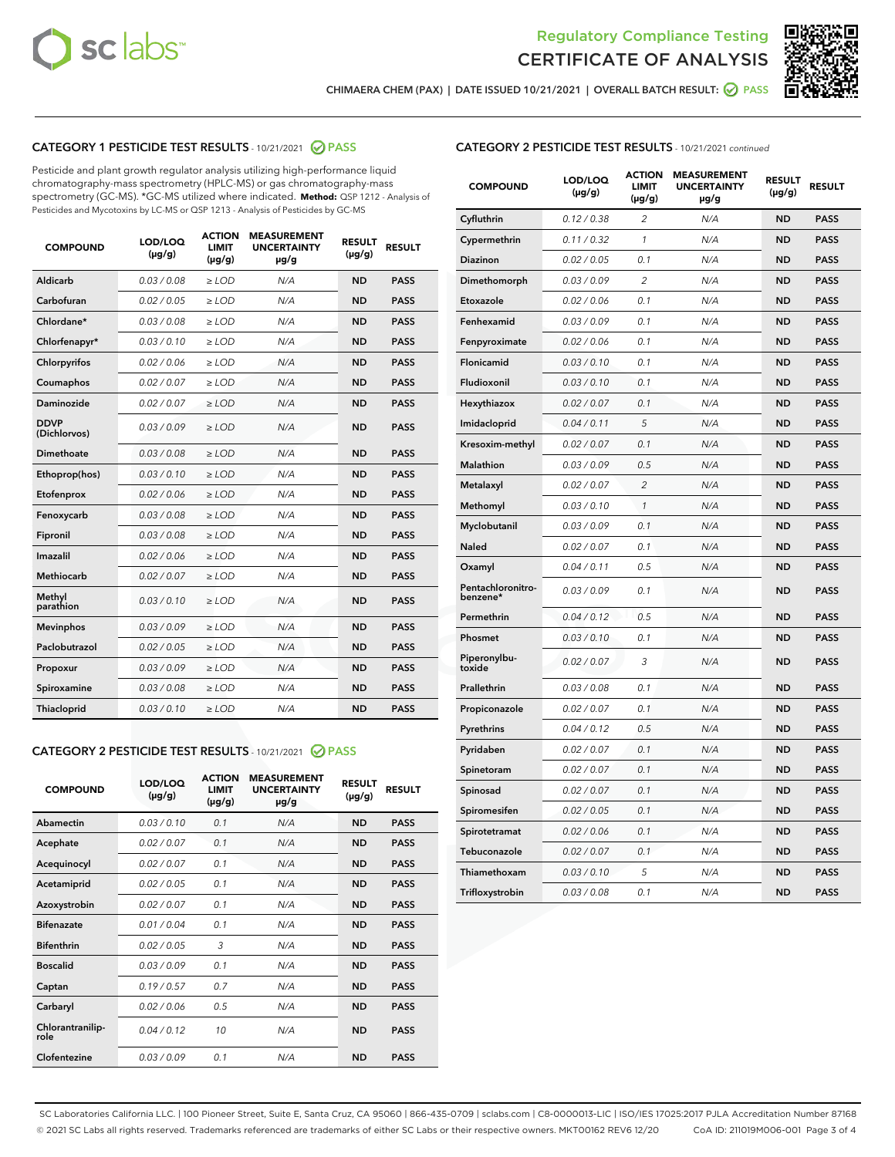



CHIMAERA CHEM (PAX) | DATE ISSUED 10/21/2021 | OVERALL BATCH RESULT:  $\bigcirc$  PASS

# CATEGORY 1 PESTICIDE TEST RESULTS - 10/21/2021 2 PASS

Pesticide and plant growth regulator analysis utilizing high-performance liquid chromatography-mass spectrometry (HPLC-MS) or gas chromatography-mass spectrometry (GC-MS). \*GC-MS utilized where indicated. **Method:** QSP 1212 - Analysis of Pesticides and Mycotoxins by LC-MS or QSP 1213 - Analysis of Pesticides by GC-MS

| <b>COMPOUND</b>             | LOD/LOQ<br>$(\mu g/g)$ | <b>ACTION</b><br><b>LIMIT</b><br>$(\mu g/g)$ | <b>MEASUREMENT</b><br><b>UNCERTAINTY</b><br>µg/g | <b>RESULT</b><br>$(\mu g/g)$ | <b>RESULT</b> |
|-----------------------------|------------------------|----------------------------------------------|--------------------------------------------------|------------------------------|---------------|
| Aldicarb                    | 0.03 / 0.08            | $\geq$ LOD                                   | N/A                                              | <b>ND</b>                    | <b>PASS</b>   |
| Carbofuran                  | 0.02/0.05              | $\ge$ LOD                                    | N/A                                              | <b>ND</b>                    | <b>PASS</b>   |
| Chlordane*                  | 0.03 / 0.08            | $\ge$ LOD                                    | N/A                                              | <b>ND</b>                    | <b>PASS</b>   |
| Chlorfenapyr*               | 0.03/0.10              | $\ge$ LOD                                    | N/A                                              | <b>ND</b>                    | <b>PASS</b>   |
| Chlorpyrifos                | 0.02 / 0.06            | $\ge$ LOD                                    | N/A                                              | <b>ND</b>                    | <b>PASS</b>   |
| Coumaphos                   | 0.02 / 0.07            | $\ge$ LOD                                    | N/A                                              | <b>ND</b>                    | <b>PASS</b>   |
| Daminozide                  | 0.02 / 0.07            | $\ge$ LOD                                    | N/A                                              | <b>ND</b>                    | <b>PASS</b>   |
| <b>DDVP</b><br>(Dichlorvos) | 0.03/0.09              | $\ge$ LOD                                    | N/A                                              | <b>ND</b>                    | <b>PASS</b>   |
| Dimethoate                  | 0.03 / 0.08            | $\ge$ LOD                                    | N/A                                              | <b>ND</b>                    | <b>PASS</b>   |
| Ethoprop(hos)               | 0.03/0.10              | $\ge$ LOD                                    | N/A                                              | <b>ND</b>                    | <b>PASS</b>   |
| Etofenprox                  | 0.02 / 0.06            | $\ge$ LOD                                    | N/A                                              | <b>ND</b>                    | <b>PASS</b>   |
| Fenoxycarb                  | 0.03/0.08              | $\ge$ LOD                                    | N/A                                              | <b>ND</b>                    | <b>PASS</b>   |
| Fipronil                    | 0.03 / 0.08            | $\ge$ LOD                                    | N/A                                              | <b>ND</b>                    | <b>PASS</b>   |
| Imazalil                    | 0.02 / 0.06            | $\ge$ LOD                                    | N/A                                              | <b>ND</b>                    | <b>PASS</b>   |
| <b>Methiocarb</b>           | 0.02 / 0.07            | $\ge$ LOD                                    | N/A                                              | <b>ND</b>                    | <b>PASS</b>   |
| Methyl<br>parathion         | 0.03/0.10              | $\ge$ LOD                                    | N/A                                              | <b>ND</b>                    | <b>PASS</b>   |
| <b>Mevinphos</b>            | 0.03/0.09              | $\ge$ LOD                                    | N/A                                              | <b>ND</b>                    | <b>PASS</b>   |
| Paclobutrazol               | 0.02 / 0.05            | $\ge$ LOD                                    | N/A                                              | <b>ND</b>                    | <b>PASS</b>   |
| Propoxur                    | 0.03/0.09              | $\ge$ LOD                                    | N/A                                              | <b>ND</b>                    | <b>PASS</b>   |
| Spiroxamine                 | 0.03 / 0.08            | $\ge$ LOD                                    | N/A                                              | <b>ND</b>                    | <b>PASS</b>   |
| <b>Thiacloprid</b>          | 0.03/0.10              | $\ge$ LOD                                    | N/A                                              | <b>ND</b>                    | <b>PASS</b>   |
|                             |                        |                                              |                                                  |                              |               |

# CATEGORY 2 PESTICIDE TEST RESULTS - 10/21/2021 @ PASS

| <b>ACTION</b><br><b>MEASUREMENT</b><br>LOD/LOO<br><b>RESULT</b><br><b>RESULT</b><br><b>UNCERTAINTY</b><br><b>COMPOUND</b><br>LIMIT<br>$(\mu g/g)$<br>$(\mu g/g)$<br>$(\mu g/g)$<br>$\mu$ g/g<br>Abamectin<br>0.03/0.10<br>0.1<br><b>ND</b><br><b>PASS</b><br>N/A<br>0.02/0.07<br>0.1<br>N/A<br><b>ND</b><br><b>PASS</b><br>Acephate<br>0.02/0.07<br>0.1<br>N/A<br><b>ND</b><br><b>PASS</b><br>Acequinocyl |  |
|-----------------------------------------------------------------------------------------------------------------------------------------------------------------------------------------------------------------------------------------------------------------------------------------------------------------------------------------------------------------------------------------------------------|--|
|                                                                                                                                                                                                                                                                                                                                                                                                           |  |
|                                                                                                                                                                                                                                                                                                                                                                                                           |  |
|                                                                                                                                                                                                                                                                                                                                                                                                           |  |
|                                                                                                                                                                                                                                                                                                                                                                                                           |  |
| 0.02/0.05<br><b>ND</b><br>0.1<br>N/A<br><b>PASS</b><br>Acetamiprid                                                                                                                                                                                                                                                                                                                                        |  |
| 0.02/0.07<br>0.1<br><b>ND</b><br><b>PASS</b><br>Azoxystrobin<br>N/A                                                                                                                                                                                                                                                                                                                                       |  |
| <b>Bifenazate</b><br>0.01/0.04<br>0.1<br>N/A<br><b>ND</b><br><b>PASS</b>                                                                                                                                                                                                                                                                                                                                  |  |
| <b>Bifenthrin</b><br>0.02/0.05<br>3<br>N/A<br><b>ND</b><br><b>PASS</b>                                                                                                                                                                                                                                                                                                                                    |  |
| <b>Boscalid</b><br>0.03/0.09<br>0.1<br><b>ND</b><br>N/A<br><b>PASS</b>                                                                                                                                                                                                                                                                                                                                    |  |
| 0.19/0.57<br>0.7<br>N/A<br><b>ND</b><br><b>PASS</b><br>Captan                                                                                                                                                                                                                                                                                                                                             |  |
| <b>ND</b><br>0.02/0.06<br>0.5<br>N/A<br><b>PASS</b><br>Carbaryl                                                                                                                                                                                                                                                                                                                                           |  |
| Chlorantranilip-<br>0.04/0.12<br>10<br>N/A<br><b>ND</b><br><b>PASS</b><br>role                                                                                                                                                                                                                                                                                                                            |  |
| Clofentezine<br>0.03/0.09<br>0.1<br>N/A<br><b>ND</b><br><b>PASS</b>                                                                                                                                                                                                                                                                                                                                       |  |

| <b>CATEGORY 2 PESTICIDE TEST RESULTS</b> - 10/21/2021 continued |
|-----------------------------------------------------------------|
|-----------------------------------------------------------------|

| <b>COMPOUND</b>               | LOD/LOQ<br>(µg/g) | <b>ACTION</b><br><b>LIMIT</b><br>$(\mu g/g)$ | <b>MEASUREMENT</b><br><b>UNCERTAINTY</b><br>µg/g | <b>RESULT</b><br>(µg/g) | <b>RESULT</b> |
|-------------------------------|-------------------|----------------------------------------------|--------------------------------------------------|-------------------------|---------------|
| Cyfluthrin                    | 0.12 / 0.38       | $\overline{\mathcal{L}}$                     | N/A                                              | ND                      | <b>PASS</b>   |
| Cypermethrin                  | 0.11 / 0.32       | 1                                            | N/A                                              | <b>ND</b>               | <b>PASS</b>   |
| Diazinon                      | 0.02 / 0.05       | 0.1                                          | N/A                                              | <b>ND</b>               | <b>PASS</b>   |
| Dimethomorph                  | 0.03 / 0.09       | 2                                            | N/A                                              | ND                      | <b>PASS</b>   |
| Etoxazole                     | 0.02 / 0.06       | 0.1                                          | N/A                                              | <b>ND</b>               | <b>PASS</b>   |
| Fenhexamid                    | 0.03 / 0.09       | 0.1                                          | N/A                                              | <b>ND</b>               | <b>PASS</b>   |
| Fenpyroximate                 | 0.02 / 0.06       | 0.1                                          | N/A                                              | ND                      | <b>PASS</b>   |
| Flonicamid                    | 0.03 / 0.10       | 0.1                                          | N/A                                              | ND                      | <b>PASS</b>   |
| Fludioxonil                   | 0.03 / 0.10       | 0.1                                          | N/A                                              | <b>ND</b>               | <b>PASS</b>   |
| Hexythiazox                   | 0.02 / 0.07       | 0.1                                          | N/A                                              | <b>ND</b>               | <b>PASS</b>   |
| Imidacloprid                  | 0.04 / 0.11       | 5                                            | N/A                                              | ND                      | <b>PASS</b>   |
| Kresoxim-methyl               | 0.02 / 0.07       | 0.1                                          | N/A                                              | <b>ND</b>               | <b>PASS</b>   |
| Malathion                     | 0.03 / 0.09       | 0.5                                          | N/A                                              | ND                      | <b>PASS</b>   |
| Metalaxyl                     | 0.02 / 0.07       | $\overline{2}$                               | N/A                                              | ND                      | <b>PASS</b>   |
| Methomyl                      | 0.03 / 0.10       | 1                                            | N/A                                              | <b>ND</b>               | <b>PASS</b>   |
| Myclobutanil                  | 0.03 / 0.09       | 0.1                                          | N/A                                              | <b>ND</b>               | <b>PASS</b>   |
| Naled                         | 0.02 / 0.07       | 0.1                                          | N/A                                              | ND                      | <b>PASS</b>   |
| Oxamyl                        | 0.04 / 0.11       | 0.5                                          | N/A                                              | ND                      | <b>PASS</b>   |
| Pentachloronitro-<br>benzene* | 0.03 / 0.09       | 0.1                                          | N/A                                              | <b>ND</b>               | <b>PASS</b>   |
| Permethrin                    | 0.04 / 0.12       | 0.5                                          | N/A                                              | ND                      | <b>PASS</b>   |
| Phosmet                       | 0.03/0.10         | 0.1                                          | N/A                                              | ND                      | <b>PASS</b>   |
| Piperonylbu-<br>toxide        | 0.02 / 0.07       | 3                                            | N/A                                              | ND                      | <b>PASS</b>   |
| Prallethrin                   | 0.03 / 0.08       | 0.1                                          | N/A                                              | ND                      | <b>PASS</b>   |
| Propiconazole                 | 0.02 / 0.07       | 0.1                                          | N/A                                              | ND                      | <b>PASS</b>   |
| Pyrethrins                    | 0.04 / 0.12       | 0.5                                          | N/A                                              | ND                      | <b>PASS</b>   |
| Pyridaben                     | 0.02 / 0.07       | 0.1                                          | N/A                                              | <b>ND</b>               | <b>PASS</b>   |
| Spinetoram                    | 0.02 / 0.07       | 0.1                                          | N/A                                              | ND                      | <b>PASS</b>   |
| Spinosad                      | 0.02 / 0.07       | 0.1                                          | N/A                                              | ND                      | <b>PASS</b>   |
| Spiromesifen                  | 0.02 / 0.05       | 0.1                                          | N/A                                              | ND                      | <b>PASS</b>   |
| Spirotetramat                 | 0.02 / 0.06       | 0.1                                          | N/A                                              | ND                      | <b>PASS</b>   |
| Tebuconazole                  | 0.02 / 0.07       | 0.1                                          | N/A                                              | ND                      | <b>PASS</b>   |
| Thiamethoxam                  | 0.03 / 0.10       | 5                                            | N/A                                              | ND                      | <b>PASS</b>   |
| Trifloxystrobin               | 0.03 / 0.08       | 0.1                                          | N/A                                              | ND                      | <b>PASS</b>   |

SC Laboratories California LLC. | 100 Pioneer Street, Suite E, Santa Cruz, CA 95060 | 866-435-0709 | sclabs.com | C8-0000013-LIC | ISO/IES 17025:2017 PJLA Accreditation Number 87168 © 2021 SC Labs all rights reserved. Trademarks referenced are trademarks of either SC Labs or their respective owners. MKT00162 REV6 12/20 CoA ID: 211019M006-001 Page 3 of 4